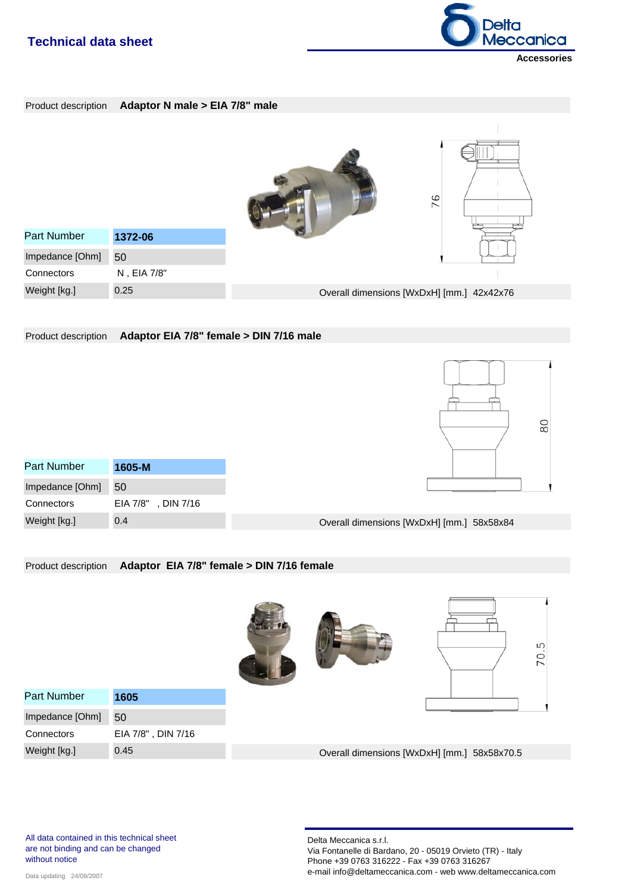

Product description **Adaptor N male > EIA 7/8" male** 76 Part Number **1372-06** Impedance [Ohm] 50 **Connectors** N , EIA 7/8" Weight [kg.] 0.25 Overall dimensions [WxDxH] [mm.] 42x42x76

Product description **Adaptor EIA 7/8" female > DIN 7/16 male**

| Part Number     | $1605 - M$         |
|-----------------|--------------------|
| Impedance [Ohm] | 50                 |
| Connectors      | EIA 7/8", DIN 7/16 |
| Weight [kg.]    | 0.4                |



#### Product description **Adaptor EIA 7/8" female > DIN 7/16 female**

|                    |                    |  |                                             | ъ<br>70 |
|--------------------|--------------------|--|---------------------------------------------|---------|
| <b>Part Number</b> | 1605               |  |                                             |         |
| Impedance [Ohm]    | 50                 |  |                                             |         |
| Connectors         | EIA 7/8", DIN 7/16 |  |                                             |         |
| Weight [kg.]       | 0.45               |  | Overall dimensions [WxDxH] [mm.] 58x58x70.5 |         |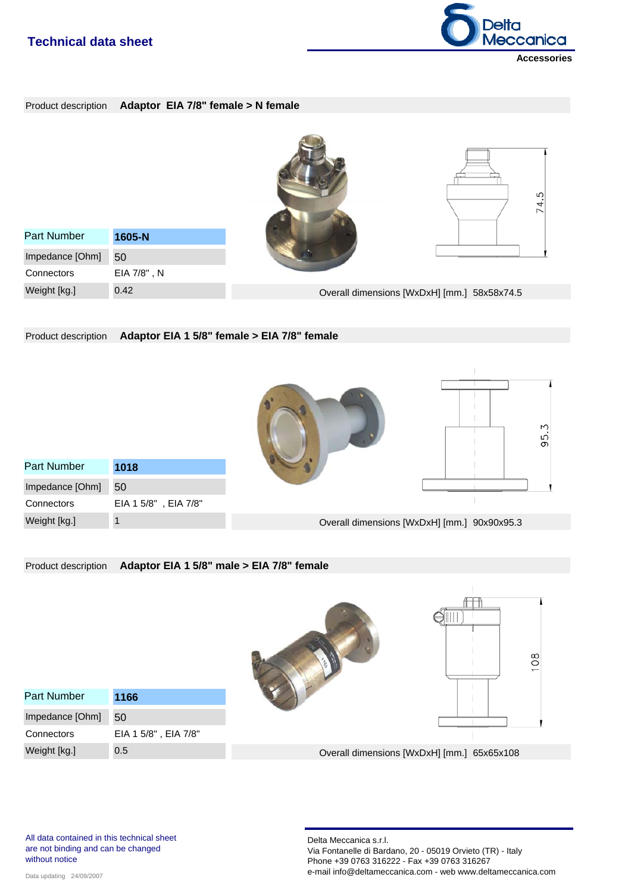

| Product description Adaptor EIA 7/8" female > N female |  |  |  |  |
|--------------------------------------------------------|--|--|--|--|
|--------------------------------------------------------|--|--|--|--|



Product description **Adaptor EIA 1 5/8" female > EIA 7/8" female**





| Part Number     | 1018                 |
|-----------------|----------------------|
| Impedance [Ohm] | 50                   |
| Connectors      | EIA 1 5/8", EIA 7/8" |
| Weight [kg.]    | 1                    |

Overall dimensions [WxDxH] [mm.] 90x90x95.3

| Product description |                      | Adaptor EIA 1 5/8" male > EIA 7/8" female  |     |
|---------------------|----------------------|--------------------------------------------|-----|
|                     |                      |                                            | 108 |
| <b>Part Number</b>  | 1166                 |                                            |     |
| Impedance [Ohm]     | 50                   |                                            |     |
| Connectors          | EIA 1 5/8", EIA 7/8" |                                            |     |
| Weight [kg.]        | 0.5                  | Overall dimensions [WxDxH] [mm.] 65x65x108 |     |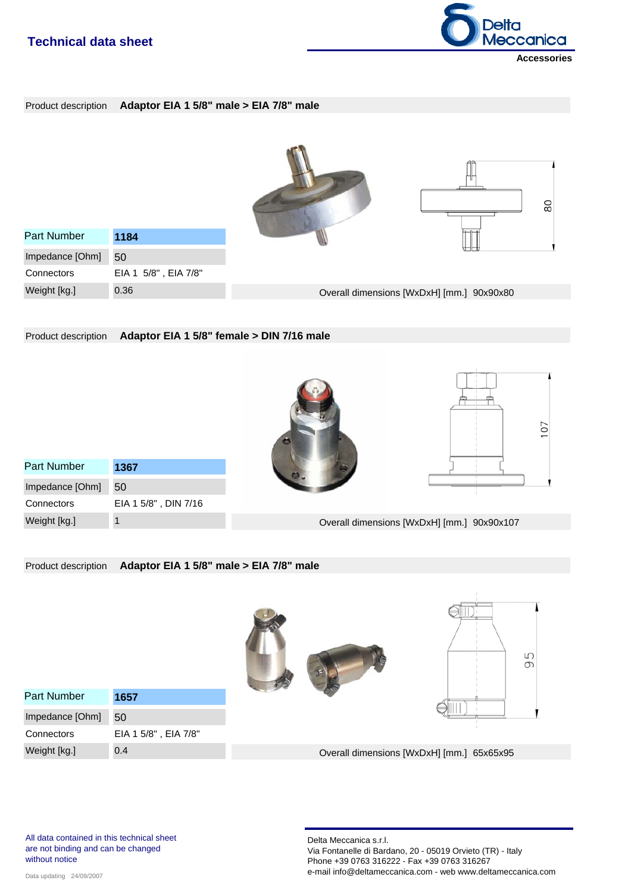

Product description **Adaptor EIA 1 5/8" male > EIA 7/8" male**



Product description **Adaptor EIA 1 5/8" female > DIN 7/16 male**





| Part Number     | 1367                 |
|-----------------|----------------------|
| Impedance [Ohm] | 50                   |
| Connectors      | EIA 1 5/8", DIN 7/16 |
| Weight [kg.]    |                      |

Overall dimensions [WxDxH] [mm.] 90x90x107

Product description **Adaptor EIA 1 5/8" male > EIA 7/8" male**

|                 |                      |  |                                           | Ю<br>$\sigma$ |
|-----------------|----------------------|--|-------------------------------------------|---------------|
| Part Number     | 1657                 |  |                                           |               |
| Impedance [Ohm] | 50                   |  |                                           |               |
| Connectors      | EIA 1 5/8", EIA 7/8" |  |                                           |               |
| Weight [kg.]    | 0.4                  |  | Overall dimensions [WxDxH] [mm.] 65x65x95 |               |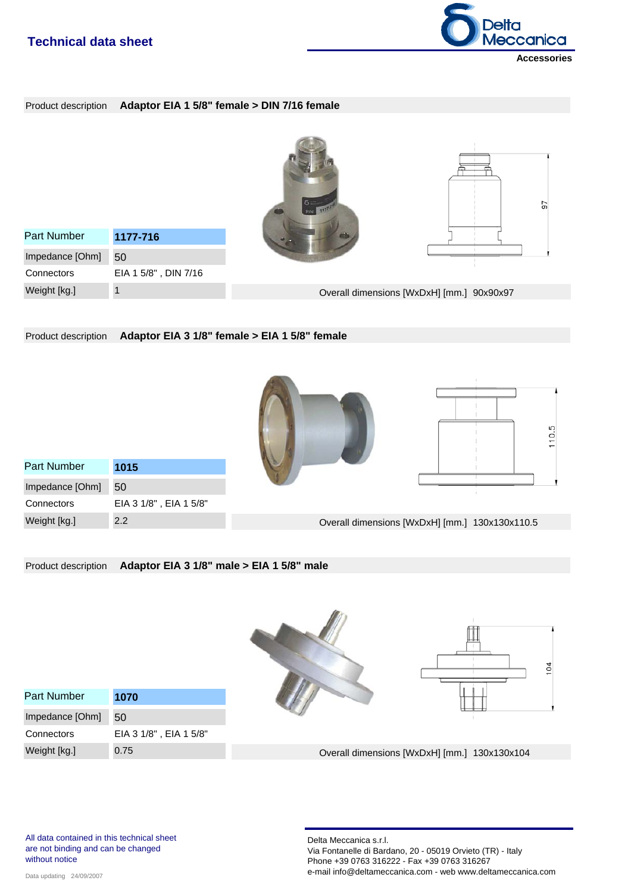

Product description **Adaptor EIA 1 5/8" female > DIN 7/16 female**



Product description **Adaptor EIA 3 1/8" female > EIA 1 5/8" female**





| Part Number     | 1015                   |
|-----------------|------------------------|
| Impedance [Ohm] | 50                     |
| Connectors      | EIA 3 1/8", EIA 1 5/8" |
| Weight [kg.]    | 2.2                    |

Overall dimensions [WxDxH] [mm.] 130x130x110.5

Product description **Adaptor EIA 3 1/8" male > EIA 1 5/8" male**





| <b>Part Number</b> | 1070                   |
|--------------------|------------------------|
| Impedance [Ohm]    | 50                     |
| Connectors         | EIA 3 1/8", EIA 1 5/8" |
| Weight [kg.]       | 0.75                   |

Overall dimensions [WxDxH] [mm.] 130x130x104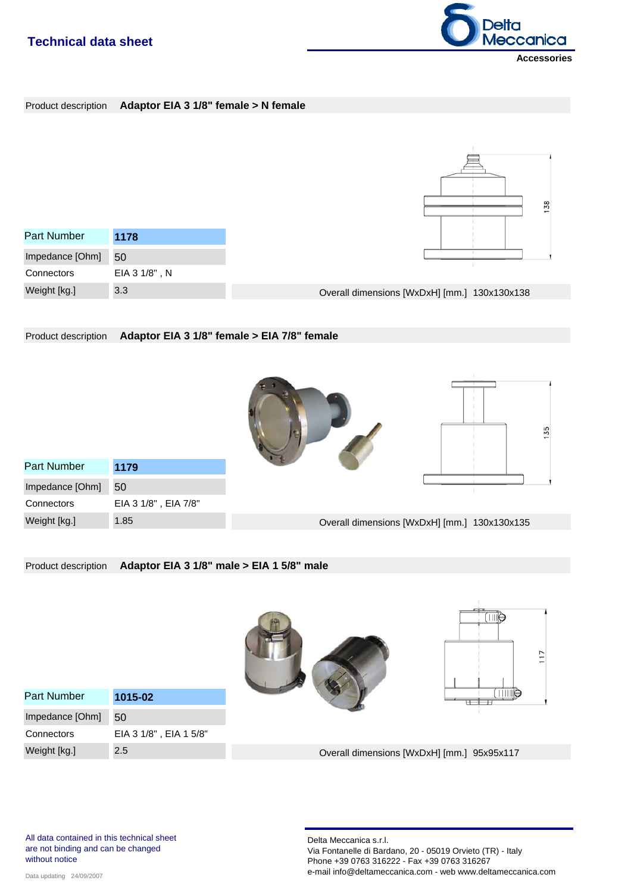

#### Product description **Adaptor EIA 3 1/8" female > N female**



Product description **Adaptor EIA 3 1/8" female > EIA 7/8" female**





| <b>Part Number</b> | 1179                 |
|--------------------|----------------------|
| Impedance [Ohm]    | 50                   |
| Connectors         | EIA 3 1/8", EIA 7/8" |
| Weight [kg.]       | 1.85                 |

Overall dimensions [WxDxH] [mm.] 130x130x135

Product description **Adaptor EIA 3 1/8" male > EIA 1 5/8" male**



Overall dimensions [WxDxH] [mm.] 95x95x117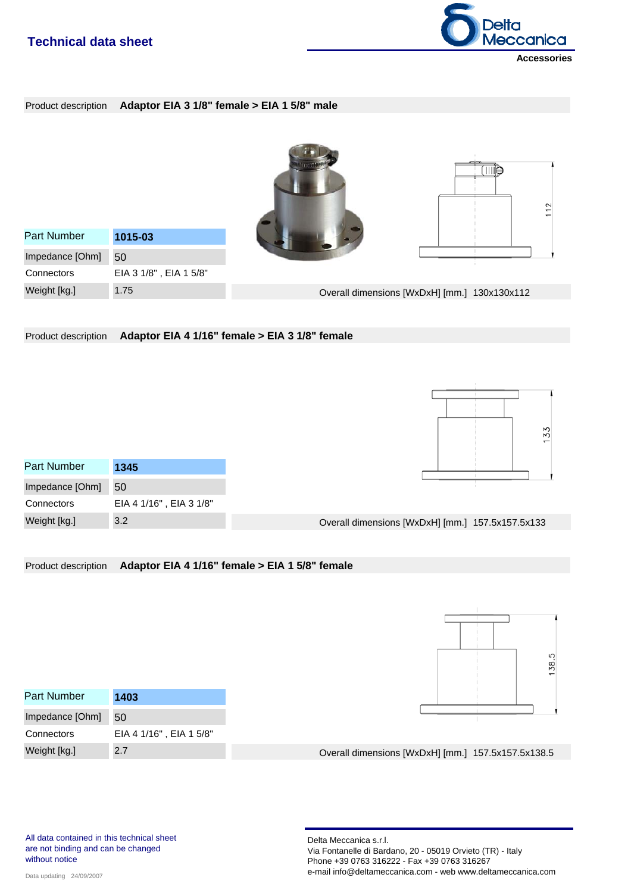

Product description **Adaptor EIA 3 1/8" female > EIA 1 5/8" male**



Product description **Adaptor EIA 4 1/16" female > EIA 3 1/8" female**

| Part Number     | 1345                    |
|-----------------|-------------------------|
| Impedance [Ohm] | 50                      |
| Connectors      | EIA 4 1/16", EIA 3 1/8" |
| Weight [kg.]    | 3.2                     |



Overall dimensions [WxDxH] [mm.] 157.5x157.5x133

Product description **Adaptor EIA 4 1/16" female > EIA 1 5/8" female**



| Part Number     | 1403                    |                                                    |  |
|-----------------|-------------------------|----------------------------------------------------|--|
| Impedance [Ohm] | -50                     |                                                    |  |
| Connectors      | EIA 4 1/16", EIA 1 5/8" |                                                    |  |
| Weight [kg.]    | 2.7                     | Overall dimensions [WxDxH] [mm.] 157.5x157.5x138.5 |  |

All data contained in this technical sheet are not binding and can be changed without notice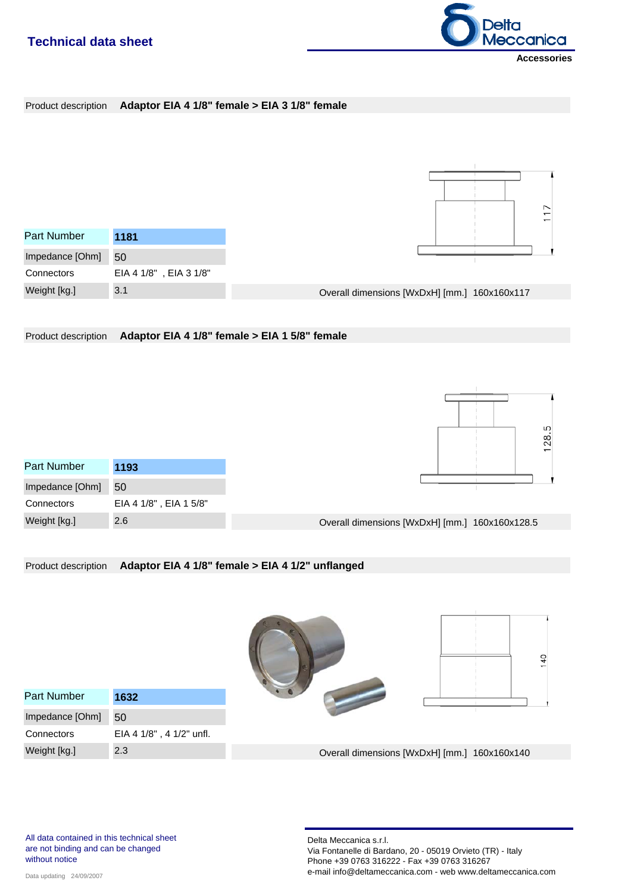

|  | Product description Adaptor EIA 4 1/8" female > EIA 3 1/8" female |
|--|-------------------------------------------------------------------|
|--|-------------------------------------------------------------------|



Product description **Adaptor EIA 4 1/8" female > EIA 1 5/8" female**

| Part Number     | 1193                   |
|-----------------|------------------------|
| Impedance [Ohm] | 50                     |
| Connectors      | EIA 4 1/8", EIA 1 5/8" |
| Weight [kg.]    | 2.6                    |



| Overall dimensions [WxDxH] [mm.] 160x160x128.5 |  |  |  |
|------------------------------------------------|--|--|--|
|------------------------------------------------|--|--|--|

#### Product description **Adaptor EIA 4 1/8" female > EIA 4 1/2" unflanged**

| Part Number     | 1632                     |  |
|-----------------|--------------------------|--|
| Impedance [Ohm] | 50                       |  |
| Connectors      | EIA 4 1/8", 4 1/2" unfl. |  |

Overall dimensions [WxDxH] [mm.] 160x160x140

Weight [kg.] 2.3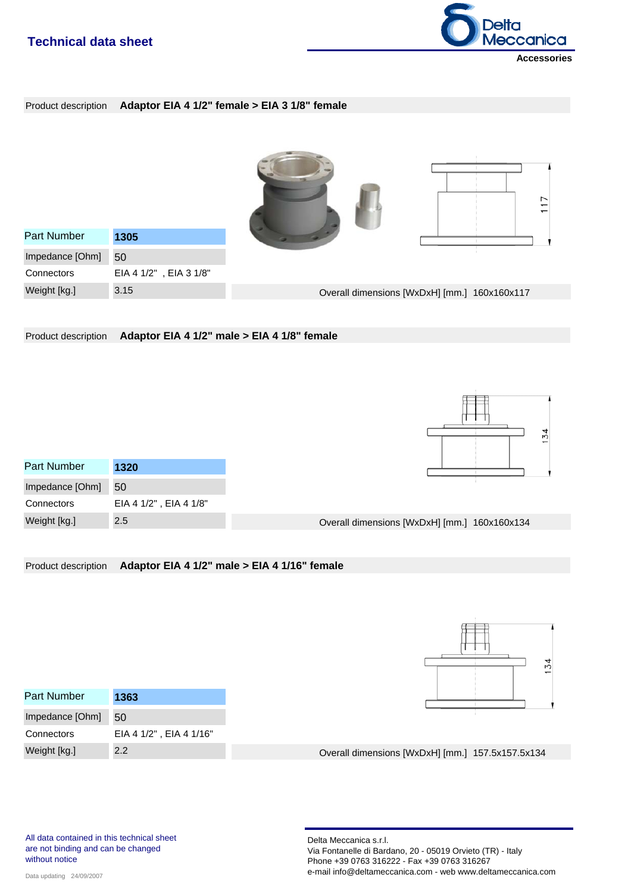

Product description **Adaptor EIA 4 1/2" female > EIA 3 1/8" female**

| <b>Part Number</b> | 1305                   |                                              |  |
|--------------------|------------------------|----------------------------------------------|--|
| Impedance [Ohm]    | 50                     |                                              |  |
| Connectors         | EIA 4 1/2", EIA 3 1/8" |                                              |  |
| Weight [kg.]       | 3.15                   | Overall dimensions [WxDxH] [mm.] 160x160x117 |  |

Product description **Adaptor EIA 4 1/2" male > EIA 4 1/8" female**

| <b>Part Number</b> | 1320                   |
|--------------------|------------------------|
| Impedance [Ohm]    | 50                     |
| Connectors         | EIA 4 1/2", EIA 4 1/8" |
| Weight [kg.]       | 2.5                    |



Overall dimensions [WxDxH] [mm.] 160x160x134

Product description **Adaptor EIA 4 1/2" male > EIA 4 1/16" female**



| Part Number     | 1363                    |                                                  |  |
|-----------------|-------------------------|--------------------------------------------------|--|
| Impedance [Ohm] | 50                      |                                                  |  |
| Connectors      | EIA 4 1/2", EIA 4 1/16" |                                                  |  |
| Weight [kg.]    | $2.2^{\circ}$           | Overall dimensions [WxDxH] [mm.] 157.5x157.5x134 |  |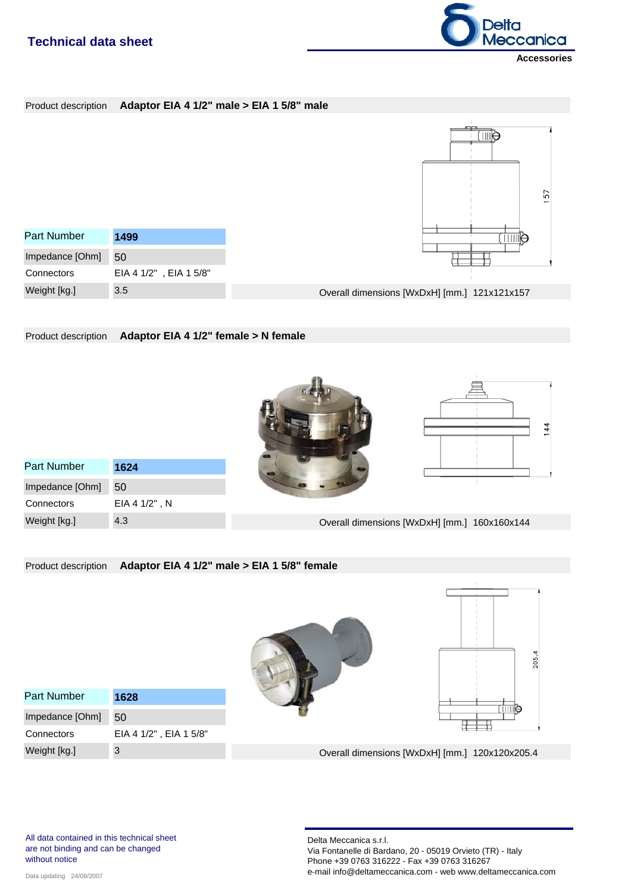

#### Product description **Adaptor EIA 4 1/2" male > EIA 1 5/8" male**



Product description **Adaptor EIA 4 1/2" female > N female**





EIA 4 1/2" , N Part Number **1624 Connectors** Weight [kg.] 4.3 Impedance [Ohm] 50

Overall dimensions [WxDxH] [mm.] 160x160x144

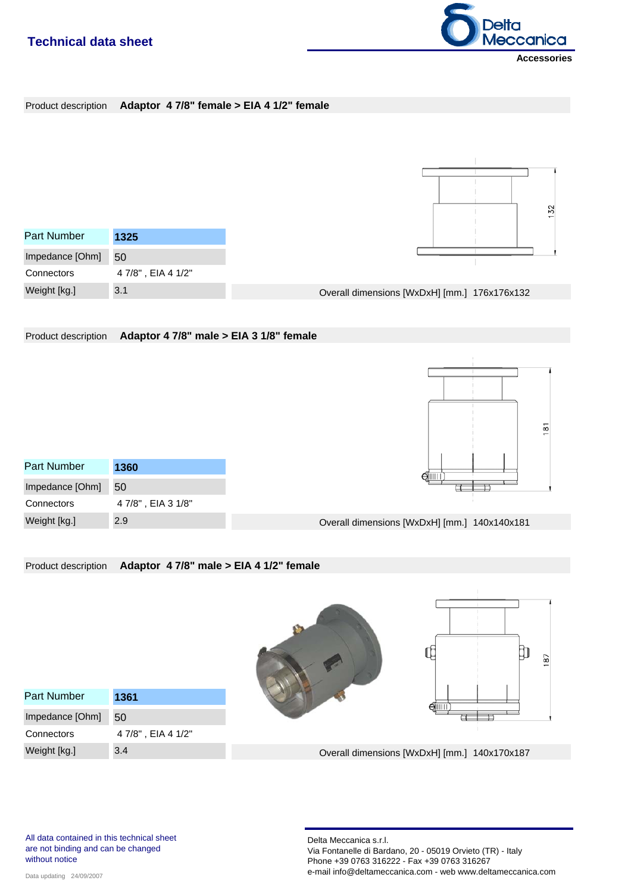

| Product description Adaptor 4 7/8" female > EIA 4 1/2" female |  |  |  |
|---------------------------------------------------------------|--|--|--|
|                                                               |  |  |  |



Product description **Adaptor 4 7/8" male > EIA 3 1/8" female**

Product description **Adaptor 4 7/8" male > EIA 4 1/2" female**

|                     |  | 181 |
|---------------------|--|-----|
| $\mathbin{\ominus}$ |  |     |
|                     |  |     |

| <b>Part Number</b> | 1360             |
|--------------------|------------------|
| Impedance [Ohm]    | 50               |
| Connectors         | 47/8", EIA 31/8" |
| Weight [kg.]       | 2.9              |



|                    |                  | 187                                          |
|--------------------|------------------|----------------------------------------------|
| <b>Part Number</b> | 1361             | $\Theta$ iiii                                |
| Impedance [Ohm]    | 50               |                                              |
| Connectors         | 47/8", EIA 41/2" |                                              |
| Weight [kg.]       | 3.4              | Overall dimensions [WxDxH] [mm.] 140x170x187 |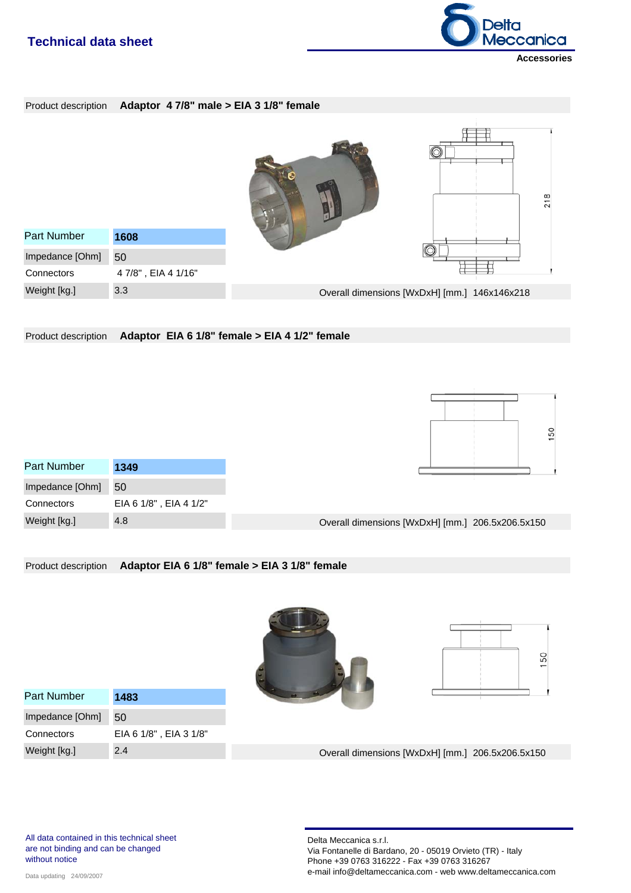

#### Product description **Adaptor 4 7/8" male > EIA 3 1/8" female**



Product description **Adaptor EIA 6 1/8" female > EIA 4 1/2" female**

| 50<br>- |  |  |
|---------|--|--|
|         |  |  |
|         |  |  |
|         |  |  |
|         |  |  |

| Part Number     | 1349                   |
|-----------------|------------------------|
| Impedance [Ohm] | 50                     |
| Connectors      | EIA 6 1/8", EIA 4 1/2" |
| Weight [kg.]    | 4.8                    |



#### Product description **Adaptor EIA 6 1/8" female > EIA 3 1/8" female**





| Part Number     | 1483                   |
|-----------------|------------------------|
| Impedance [Ohm] | 50                     |
| Connectors      | EIA 6 1/8", EIA 3 1/8" |
| Weight [kg.]    | 2.4                    |

Overall dimensions [WxDxH] [mm.] 206.5x206.5x150